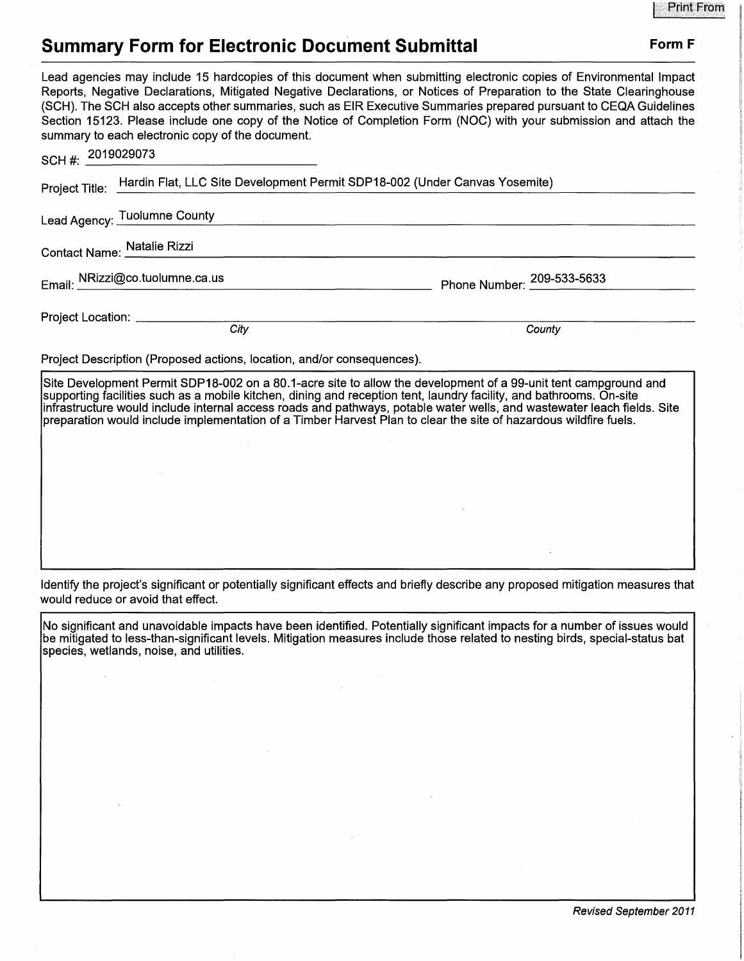## **Summary Form for Electronic Document Submittal Form F Form F**

Lead agencies may include 15 hardcopies of this document when submitting electronic copies of Environmental Impact Reports, Negative Declarations, Mitigated Negative Declarations, or Notices of Preparation to the State Clearinghouse (SCH). The SCH also accepts other summaries, such as EIR Executive Summaries prepared pursuant to CEQA Guidelines Section 15123. Please include one copy of the Notice of Completion Form (NOC) with your submission and attach the summary to each electronic copy of the document. SCOQ00133

| SCH #: $2019029073$ |                                                                                           |                            |  |
|---------------------|-------------------------------------------------------------------------------------------|----------------------------|--|
|                     | Project Title: Hardin Flat, LLC Site Development Permit SDP18-002 (Under Canvas Yosemite) |                            |  |
|                     | Lead Agency: Tuolumne County                                                              |                            |  |
|                     | Contact Name: Natalie Rizzi                                                               |                            |  |
|                     | Email: NRizzi@co.tuolumne.ca.us                                                           | Phone Number: 209-533-5633 |  |
|                     | Project Location: __________                                                              |                            |  |
|                     | City                                                                                      | County                     |  |

Project Description (Proposed actions, location, and/or consequences).

Site Development Permit SDP18-002 on a 80.1-acre site to allow the development of a 99-unit tent campground and supporting facilities such as a mobile kitchen, dining and reception tent, laundry facility, and bathrooms. On-site infrastructure would include internal access roads and pathways, potable water wells, and wastewater leach fields. Site preparation would include implementation of a Timber Harvest Plan to clear the site of hazardous wildfire fuels.

Identify the project's significant or potentially significant effects and briefly describe any proposed mitigation measures that would reduce or avoid that effect.

No significant and unavoidable impacts have been identified. Potentially significant impacts for a number of issues would be mitigated to less-than-significant levels. Mitigation measures include those related to nesting birds, special-status bat species, wetlands, noise, and utilities.